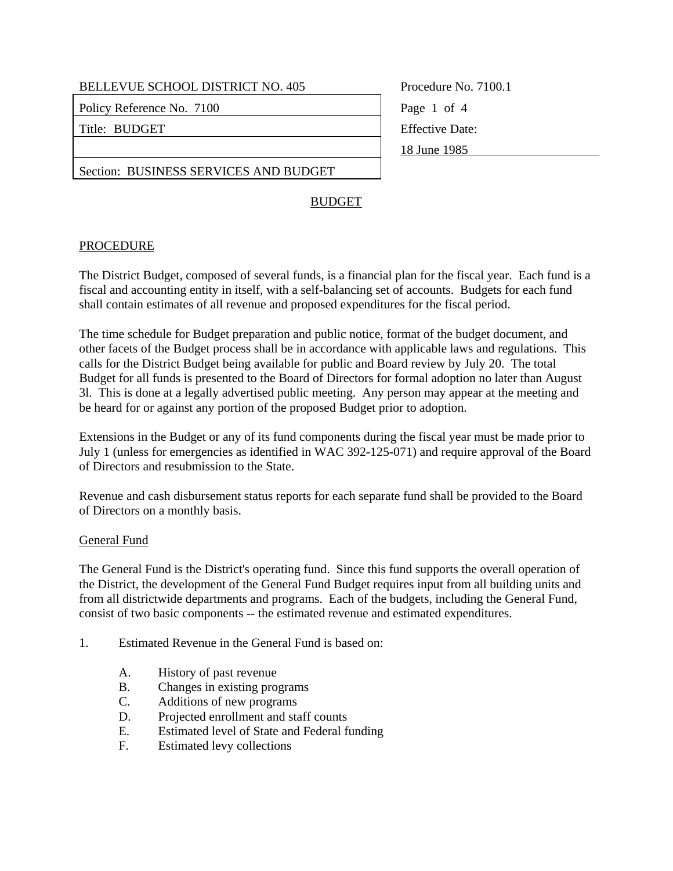Policy Reference No. 7100 Page 1 of 4

Title: BUDGET Fitle: BUDGET

Procedure No. 7100.1 18 June 1985

Section: BUSINESS SERVICES AND BUDGET

## BUDGET

## PROCEDURE

The District Budget, composed of several funds, is a financial plan for the fiscal year. Each fund is a fiscal and accounting entity in itself, with a self-balancing set of accounts. Budgets for each fund shall contain estimates of all revenue and proposed expenditures for the fiscal period.

The time schedule for Budget preparation and public notice, format of the budget document, and other facets of the Budget process shall be in accordance with applicable laws and regulations. This calls for the District Budget being available for public and Board review by July 20. The total Budget for all funds is presented to the Board of Directors for formal adoption no later than August 3l. This is done at a legally advertised public meeting. Any person may appear at the meeting and be heard for or against any portion of the proposed Budget prior to adoption.

Extensions in the Budget or any of its fund components during the fiscal year must be made prior to July 1 (unless for emergencies as identified in WAC 392-125-071) and require approval of the Board of Directors and resubmission to the State.

Revenue and cash disbursement status reports for each separate fund shall be provided to the Board of Directors on a monthly basis.

## General Fund

The General Fund is the District's operating fund. Since this fund supports the overall operation of the District, the development of the General Fund Budget requires input from all building units and from all districtwide departments and programs. Each of the budgets, including the General Fund, consist of two basic components -- the estimated revenue and estimated expenditures.

- 1. Estimated Revenue in the General Fund is based on:
	- A. History of past revenue
	- B. Changes in existing programs
	- C. Additions of new programs
	- D. Projected enrollment and staff counts
	- E. Estimated level of State and Federal funding
	- F. Estimated levy collections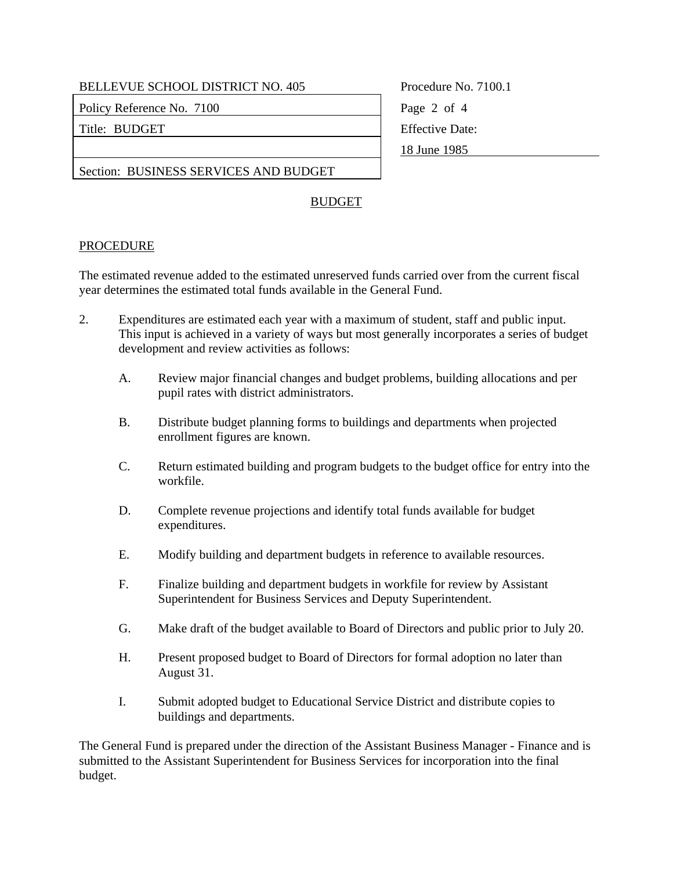BELLEVUE SCHOOL DISTRICT NO. 405 Procedure No. 7100.1

Policy Reference No. 7100 Page 2 of 4

Title: BUDGET Fitle: BUDGET

18 June 1985

Section: BUSINESS SERVICES AND BUDGET

## BUDGET

## PROCEDURE

The estimated revenue added to the estimated unreserved funds carried over from the current fiscal year determines the estimated total funds available in the General Fund.

- 2. Expenditures are estimated each year with a maximum of student, staff and public input. This input is achieved in a variety of ways but most generally incorporates a series of budget development and review activities as follows:
	- A. Review major financial changes and budget problems, building allocations and per pupil rates with district administrators.
	- B. Distribute budget planning forms to buildings and departments when projected enrollment figures are known.
	- C. Return estimated building and program budgets to the budget office for entry into the workfile.
	- D. Complete revenue projections and identify total funds available for budget expenditures.
	- E. Modify building and department budgets in reference to available resources.
	- F. Finalize building and department budgets in workfile for review by Assistant Superintendent for Business Services and Deputy Superintendent.
	- G. Make draft of the budget available to Board of Directors and public prior to July 20.
	- H. Present proposed budget to Board of Directors for formal adoption no later than August 31.
	- I. Submit adopted budget to Educational Service District and distribute copies to buildings and departments.

The General Fund is prepared under the direction of the Assistant Business Manager - Finance and is submitted to the Assistant Superintendent for Business Services for incorporation into the final budget.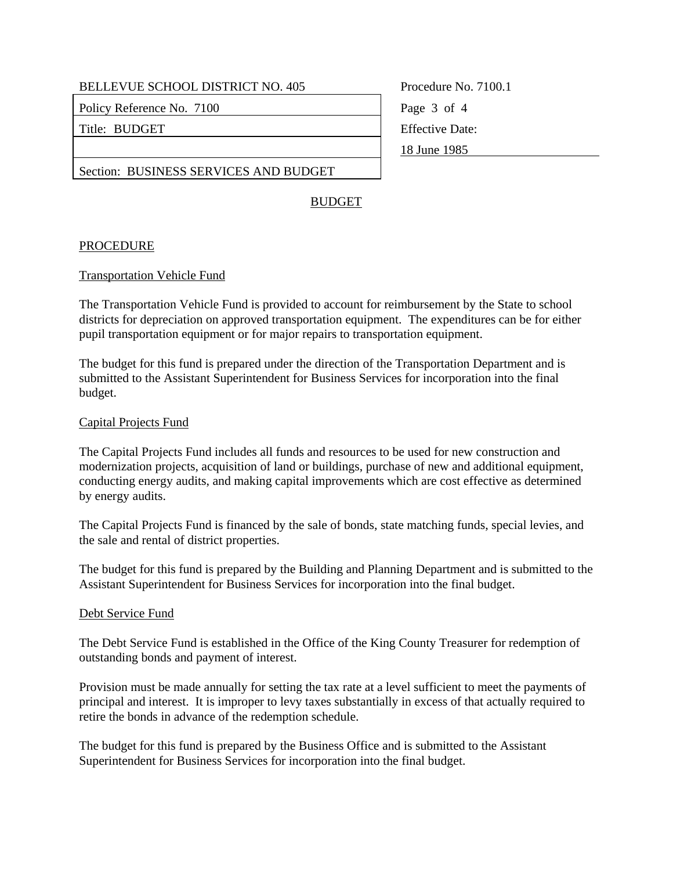BELLEVUE SCHOOL DISTRICT NO. 405 Procedure No. 7100.1

Policy Reference No. 7100 Page 3 of 4

Title: BUDGET Fitle: BUDGET

18 June 1985

Section: BUSINESS SERVICES AND BUDGET

## BUDGET

## PROCEDURE

#### Transportation Vehicle Fund

The Transportation Vehicle Fund is provided to account for reimbursement by the State to school districts for depreciation on approved transportation equipment. The expenditures can be for either pupil transportation equipment or for major repairs to transportation equipment.

The budget for this fund is prepared under the direction of the Transportation Department and is submitted to the Assistant Superintendent for Business Services for incorporation into the final budget.

#### Capital Projects Fund

The Capital Projects Fund includes all funds and resources to be used for new construction and modernization projects, acquisition of land or buildings, purchase of new and additional equipment, conducting energy audits, and making capital improvements which are cost effective as determined by energy audits.

The Capital Projects Fund is financed by the sale of bonds, state matching funds, special levies, and the sale and rental of district properties.

The budget for this fund is prepared by the Building and Planning Department and is submitted to the Assistant Superintendent for Business Services for incorporation into the final budget.

#### Debt Service Fund

The Debt Service Fund is established in the Office of the King County Treasurer for redemption of outstanding bonds and payment of interest.

Provision must be made annually for setting the tax rate at a level sufficient to meet the payments of principal and interest. It is improper to levy taxes substantially in excess of that actually required to retire the bonds in advance of the redemption schedule.

The budget for this fund is prepared by the Business Office and is submitted to the Assistant Superintendent for Business Services for incorporation into the final budget.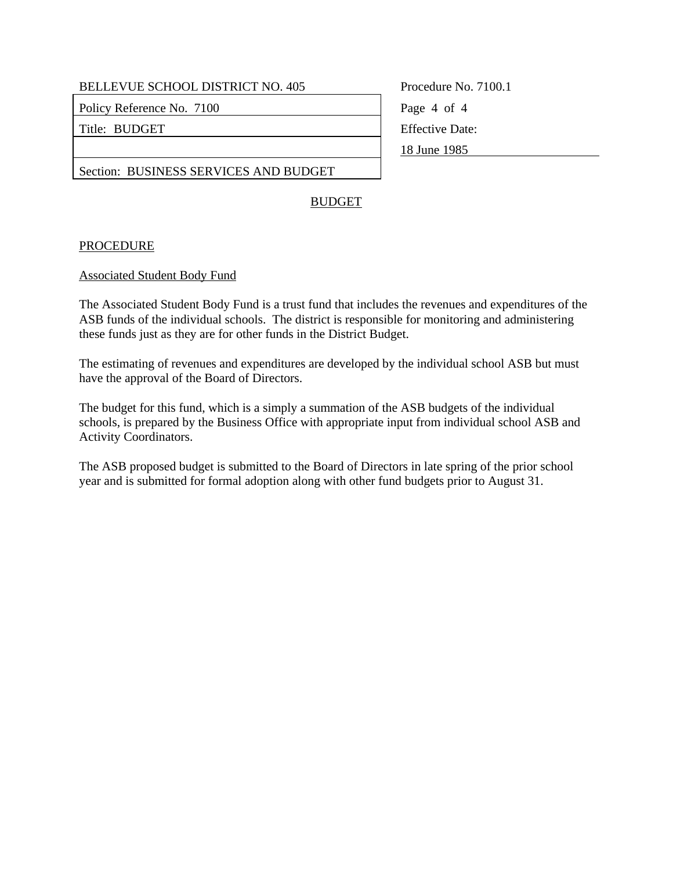BELLEVUE SCHOOL DISTRICT NO. 405 Procedure No. 7100.1

Policy Reference No. 7100 Page 4 of 4

Title: BUDGET Fitle: BUDGET

18 June 1985

Section: BUSINESS SERVICES AND BUDGET

## BUDGET

## PROCEDURE

#### Associated Student Body Fund

The Associated Student Body Fund is a trust fund that includes the revenues and expenditures of the ASB funds of the individual schools. The district is responsible for monitoring and administering these funds just as they are for other funds in the District Budget.

The estimating of revenues and expenditures are developed by the individual school ASB but must have the approval of the Board of Directors.

The budget for this fund, which is a simply a summation of the ASB budgets of the individual schools, is prepared by the Business Office with appropriate input from individual school ASB and Activity Coordinators.

The ASB proposed budget is submitted to the Board of Directors in late spring of the prior school year and is submitted for formal adoption along with other fund budgets prior to August 31.